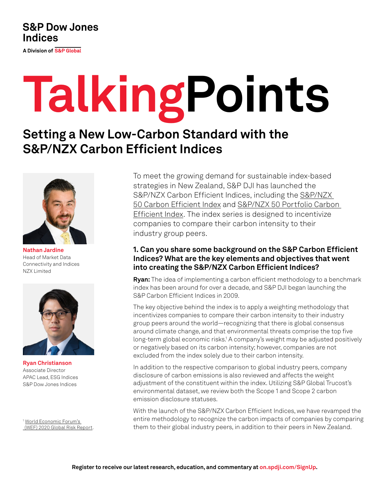# **S&P Dow Jones Indices**

A Division of S&P Global

# **TalkingPoints**

# **Setting a New Low-Carbon Standard with the S&P/NZX Carbon Efficient Indices**



**Nathan Jardine** Head of Market Data Connectivity and Indices NZX Limited



**Ryan Christianson** Associate Director APAC Lead, ESG Indices S&P Dow Jones Indices

<sup>1</sup> World Economic Forum's [\(WEF\) 2020 Global Risk Report.](https://www.weforum.org/reports/the-global-risks-report-2020) To meet the growing demand for sustainable index-based strategies in New Zealand, S&P DJI has launched the S&P/NZX Carbon Efficient Indices, including the [S&P/NZX](https://www.spglobal.com/spdji/en/indices/esg/sp-nzx-50-carbon-efficient-index/)  [50 Carbon Efficient Index](https://www.spglobal.com/spdji/en/indices/esg/sp-nzx-50-carbon-efficient-index/) and [S&P/NZX 50 Portfolio Carbon](https://www.spglobal.com/spdji/en/indices/esg/sp-nzx-50-portfolio-carbon-efficient-index/)  [Efficient Index.](https://www.spglobal.com/spdji/en/indices/esg/sp-nzx-50-portfolio-carbon-efficient-index/) The index series is designed to incentivize companies to compare their carbon intensity to their industry group peers.

# **1. Can you share some background on the S&P Carbon Efficient Indices? What are the key elements and objectives that went into creating the S&P/NZX Carbon Efficient Indices?**

**Ryan:** The idea of implementing a carbon efficient methodology to a benchmark index has been around for over a decade, and S&P DJI began launching the S&P Carbon Efficient Indices in 2009.

The key objective behind the index is to apply a weighting methodology that incentivizes companies to compare their carbon intensity to their industry group peers around the world—recognizing that there is global consensus around climate change, and that environmental threats comprise the top five long-term global economic risks.<sup>1</sup> A company's weight may be adjusted positively or negatively based on its carbon intensity; however, companies are not excluded from the index solely due to their carbon intensity.

In addition to the respective comparison to global industry peers, company disclosure of carbon emissions is also reviewed and affects the weight adjustment of the constituent within the index. Utilizing S&P Global Trucost's environmental dataset, we review both the Scope 1 and Scope 2 carbon emission disclosure statuses.

With the launch of the S&P/NZX Carbon Efficient Indices, we have revamped the entire methodology to recognize the carbon impacts of companies by comparing them to their global industry peers, in addition to their peers in New Zealand.

**Register to receive our latest research, education, and commentary at [on.spdji.com/SignUp](https://on.spdji.com/SignUp.html?src=DocFooters).**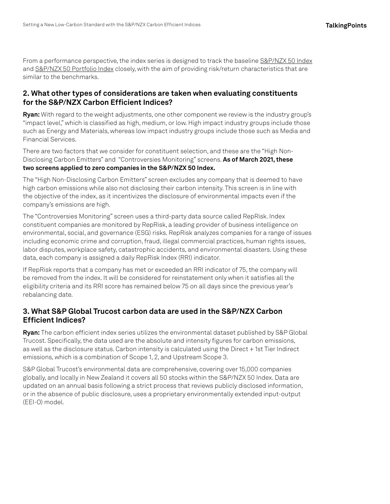From a performance perspective, the index series is designed to track the baseline [S&P/NZX 50 Index](https://www.spglobal.com/spdji/en/indices/equity/sp-nzx-50-index/#overview) and [S&P/NZX 50 Portfolio Index](https://www.spglobal.com/spdji/en/indices/equity/sp-nzx-50-portfolio-index/#overview) closely, with the aim of providing risk/return characteristics that are similar to the benchmarks.

## **2. What other types of considerations are taken when evaluating constituents for the S&P/NZX Carbon Efficient Indices?**

**Ryan:** With regard to the weight adjustments, one other component we review is the industry group's "impact level," which is classified as high, medium, or low. High impact industry groups include those such as Energy and Materials, whereas low impact industry groups include those such as Media and Financial Services.

There are two factors that we consider for constituent selection, and these are the "High Non-Disclosing Carbon Emitters" and "Controversies Monitoring" screens. **As of March 2021, these two screens applied to zero companies in the S&P/NZX 50 Index.**

The "High Non-Disclosing Carbon Emitters" screen excludes any company that is deemed to have high carbon emissions while also not disclosing their carbon intensity. This screen is in line with the objective of the index, as it incentivizes the disclosure of environmental impacts even if the company's emissions are high.

The "Controversies Monitoring" screen uses a third-party data source called RepRisk. Index constituent companies are monitored by RepRisk, a leading provider of business intelligence on environmental, social, and governance (ESG) risks. RepRisk analyzes companies for a range of issues including economic crime and corruption, fraud, illegal commercial practices, human rights issues, labor disputes, workplace safety, catastrophic accidents, and environmental disasters. Using these data, each company is assigned a daily RepRisk Index (RRI) indicator.

If RepRisk reports that a company has met or exceeded an RRI indicator of 75, the company will be removed from the index. It will be considered for reinstatement only when it satisfies all the eligibility criteria and its RRI score has remained below 75 on all days since the previous year's rebalancing date.

# **3. What S&P Global Trucost carbon data are used in the S&P/NZX Carbon Efficient Indices?**

**Ryan:** The carbon efficient index series utilizes the environmental dataset published by S&P Global Trucost. Specifically, the data used are the absolute and intensity figures for carbon emissions, as well as the disclosure status. Carbon intensity is calculated using the Direct + 1st Tier Indirect emissions, which is a combination of Scope 1, 2, and Upstream Scope 3.

S&P Global Trucost's environmental data are comprehensive, covering over 15,000 companies globally, and locally in New Zealand it covers all 50 stocks within the S&P/NZX 50 Index. Data are updated on an annual basis following a strict process that reviews publicly disclosed information, or in the absence of public disclosure, uses a proprietary environmentally extended input-output (EEI-O) model.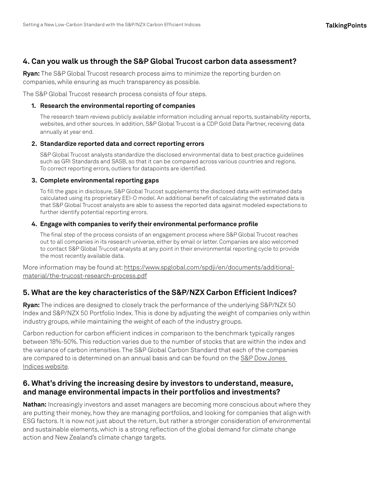# **4. Can you walk us through the S&P Global Trucost carbon data assessment?**

**Ryan:** The S&P Global Trucost research process aims to minimize the reporting burden on companies, while ensuring as much transparency as possible.

The S&P Global Trucost research process consists of four steps.

#### **1. Research the environmental reporting of companies**

The research team reviews publicly available information including annual reports, sustainability reports, websites, and other sources. In addition, S&P Global Trucost is a CDP Gold Data Partner, receiving data annually at year end.

#### **2. Standardize reported data and correct reporting errors**

S&P Global Trucost analysts standardize the disclosed environmental data to best practice guidelines such as GRI Standards and SASB, so that it can be compared across various countries and regions. To correct reporting errors, outliers for datapoints are identified.

#### **3. Complete environmental reporting gaps**

To fill the gaps in disclosure, S&P Global Trucost supplements the disclosed data with estimated data calculated using its proprietary EEI-O model. An additional benefit of calculating the estimated data is that S&P Global Trucost analysts are able to assess the reported data against modeled expectations to further identify potential reporting errors.

#### **4. Engage with companies to verify their environmental performance profile**

The final step of the process consists of an engagement process where S&P Global Trucost reaches out to all companies in its research universe, either by email or letter. Companies are also welcomed to contact S&P Global Trucost analysts at any point in their environmental reporting cycle to provide the most recently available data.

More information may be found at: [https://www.spglobal.com/spdji/en/documents/additional](https://www.spglobal.com/spdji/en/documents/additional-material/the-trucost-research-process.pdf)[material/the-trucost-research-process.pdf](https://www.spglobal.com/spdji/en/documents/additional-material/the-trucost-research-process.pdf)

#### **5. What are the key characteristics of the S&P/NZX Carbon Efficient Indices?**

**Ryan:** The indices are designed to closely track the performance of the underlying S&P/NZX 50 Index and S&P/NZX 50 Portfolio Index. This is done by adjusting the weight of companies only within industry groups, while maintaining the weight of each of the industry groups.

Carbon reduction for carbon efficient indices in comparison to the benchmark typically ranges between 18%-50%. This reduction varies due to the number of stocks that are within the index and the variance of carbon intensities. The S&P Global Carbon Standard that each of the companies are compared to is determined on an annual basis and can be found on the [S&P Dow Jones](https://www.spglobal.com/spdji/)  [Indices website](https://www.spglobal.com/spdji/).

### **6. What's driving the increasing desire by investors to understand, measure, and manage environmental impacts in their portfolios and investments?**

**Nathan:** Increasingly investors and asset managers are becoming more conscious about where they are putting their money, how they are managing portfolios, and looking for companies that align with ESG factors. It is now not just about the return, but rather a stronger consideration of environmental and sustainable elements, which is a strong reflection of the global demand for climate change action and New Zealand's climate change targets.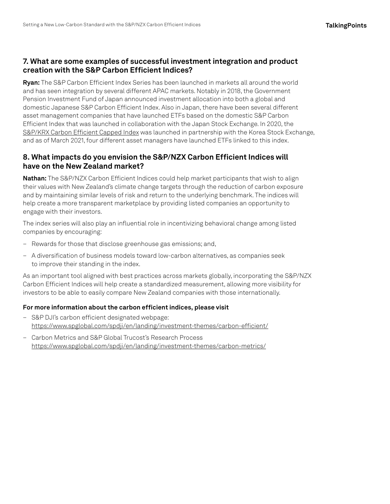# **7. What are some examples of successful investment integration and product creation with the S&P Carbon Efficient Indices?**

**Ryan:** The S&P Carbon Efficient Index Series has been launched in markets all around the world and has seen integration by several different APAC markets. Notably in 2018, the Government Pension Investment Fund of Japan announced investment allocation into both a global and domestic Japanese S&P Carbon Efficient Index. Also in Japan, there have been several different asset management companies that have launched ETFs based on the domestic S&P Carbon Efficient Index that was launched in collaboration with the Japan Stock Exchange. In 2020, the [S&P/KRX Carbon Efficient Capped Index](https://www.spglobal.com/spdji/en/indices/esg/sp-krx-carbon-efficient-capped-index/#overview) was launched in partnership with the Korea Stock Exchange, and as of March 2021, four different asset managers have launched ETFs linked to this index.

## **8. What impacts do you envision the S&P/NZX Carbon Efficient Indices will have on the New Zealand market?**

**Nathan:** The S&P/NZX Carbon Efficient Indices could help market participants that wish to align their values with New Zealand's climate change targets through the reduction of carbon exposure and by maintaining similar levels of risk and return to the underlying benchmark. The indices will help create a more transparent marketplace by providing listed companies an opportunity to engage with their investors.

The index series will also play an influential role in incentivizing behavioral change among listed companies by encouraging:

- Rewards for those that disclose greenhouse gas emissions; and,
- A diversification of business models toward low-carbon alternatives, as companies seek to improve their standing in the index.

As an important tool aligned with best practices across markets globally, incorporating the S&P/NZX Carbon Efficient Indices will help create a standardized measurement, allowing more visibility for investors to be able to easily compare New Zealand companies with those internationally.

#### **For more information about the carbon efficient indices, please visit**

- S&P DJI's carbon efficient designated webpage: <https://www.spglobal.com/spdji/en/landing/investment-themes/carbon-efficient/>
- Carbon Metrics and S&P Global Trucost's Research Process <https://www.spglobal.com/spdji/en/landing/investment-themes/carbon-metrics/>